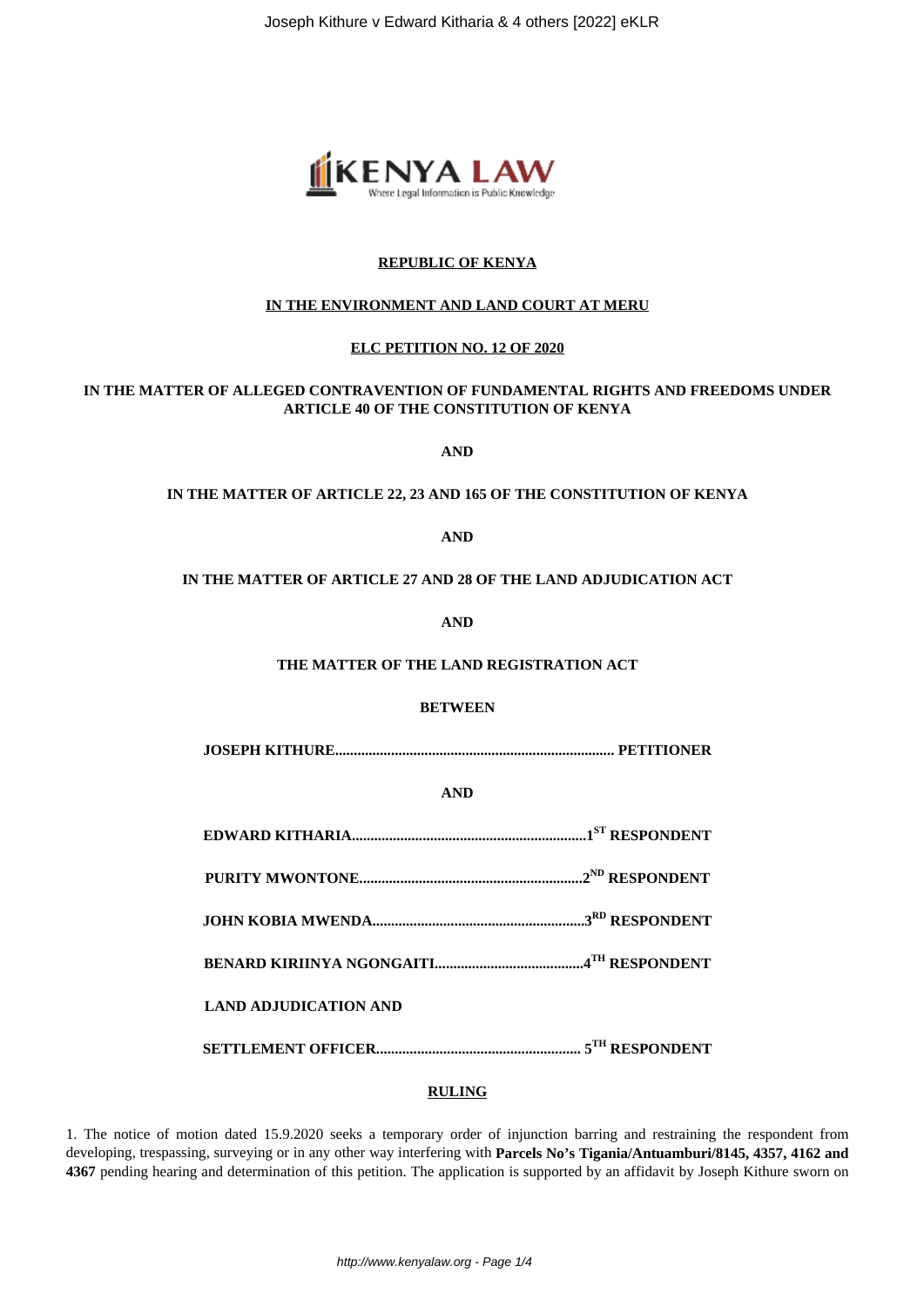Joseph Kithure v Edward Kitharia & 4 others [2022] eKLR



# **REPUBLIC OF KENYA**

# **IN THE ENVIRONMENT AND LAND COURT AT MERU**

# **ELC PETITION NO. 12 OF 2020**

# **IN THE MATTER OF ALLEGED CONTRAVENTION OF FUNDAMENTAL RIGHTS AND FREEDOMS UNDER ARTICLE 40 OF THE CONSTITUTION OF KENYA**

**AND**

#### **IN THE MATTER OF ARTICLE 22, 23 AND 165 OF THE CONSTITUTION OF KENYA**

**AND**

#### **IN THE MATTER OF ARTICLE 27 AND 28 OF THE LAND ADJUDICATION ACT**

**AND**

#### **THE MATTER OF THE LAND REGISTRATION ACT**

## **BETWEEN**

**JOSEPH KITHURE........................................................................... PETITIONER**

**AND**

|  |  | .1 <sup>st</sup> RESPONDENT |
|--|--|-----------------------------|
|--|--|-----------------------------|

**PURITY MWONTONE............................................................2ND RESPONDENT**

**JOHN KOBIA MWENDA.........................................................3RD RESPONDENT**

**BENARD KIRIINYA NGONGAITI........................................4TH RESPONDENT**

**LAND ADJUDICATION AND**

**SETTLEMENT OFFICER....................................................... 5TH RESPONDENT**

#### **RULING**

1. The notice of motion dated 15.9.2020 seeks a temporary order of injunction barring and restraining the respondent from developing, trespassing, surveying or in any other way interfering with **Parcels No's Tigania/Antuamburi/8145, 4357, 4162 and 4367** pending hearing and determination of this petition. The application is supported by an affidavit by Joseph Kithure sworn on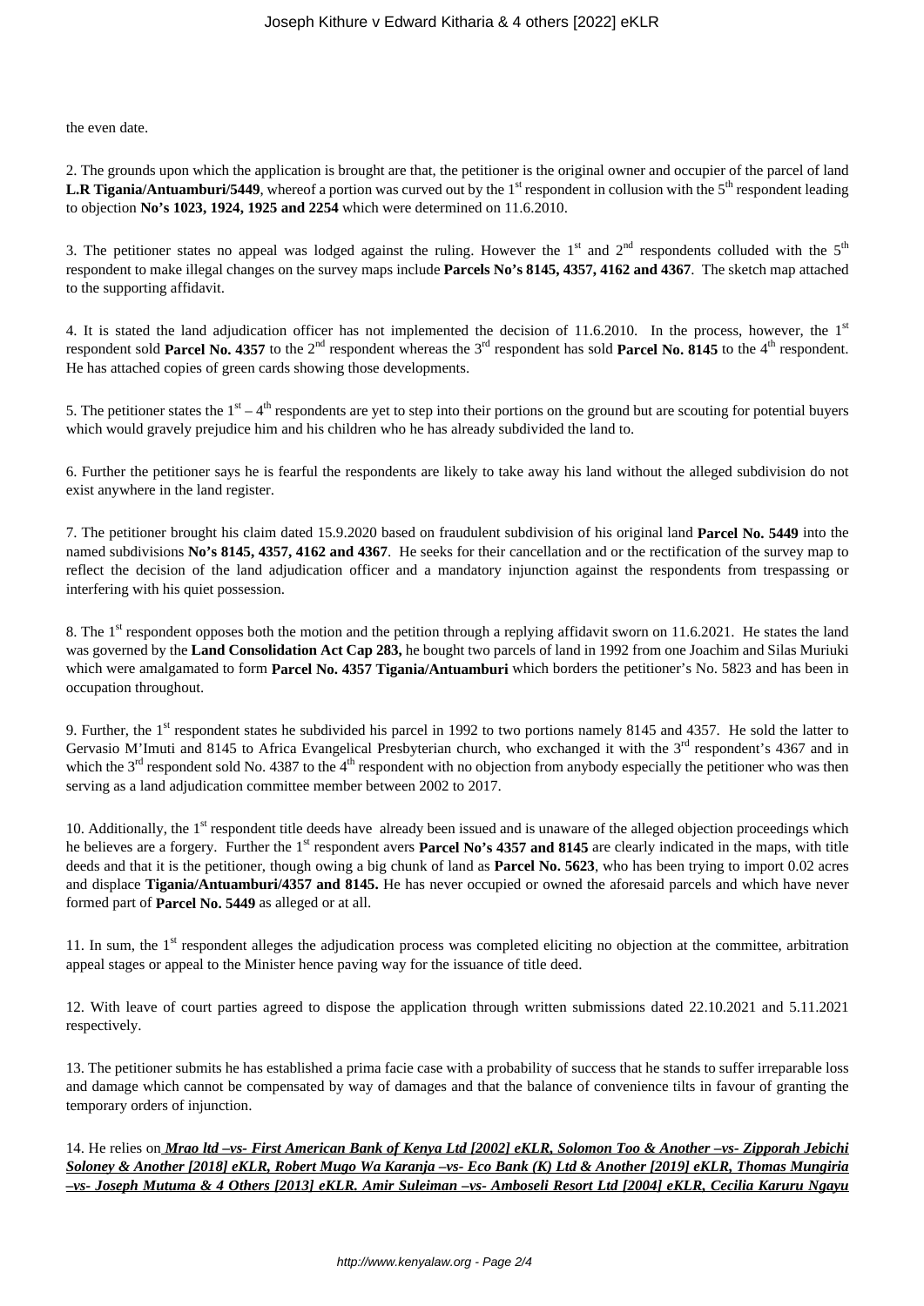the even date.

2. The grounds upon which the application is brought are that, the petitioner is the original owner and occupier of the parcel of land **L.R Tigania/Antuamburi/5449**, whereof a portion was curved out by the 1<sup>st</sup> respondent in collusion with the 5<sup>th</sup> respondent leading to objection **No's 1023, 1924, 1925 and 2254** which were determined on 11.6.2010.

3. The petitioner states no appeal was lodged against the ruling. However the  $1<sup>st</sup>$  and  $2<sup>nd</sup>$  respondents colluded with the  $5<sup>th</sup>$ respondent to make illegal changes on the survey maps include **Parcels No's 8145, 4357, 4162 and 4367**. The sketch map attached to the supporting affidavit.

4. It is stated the land adjudication officer has not implemented the decision of 11.6.2010. In the process, however, the  $1<sup>st</sup>$ respondent sold **Parcel No. 4357** to the  $2<sup>nd</sup>$  respondent whereas the  $3<sup>rd</sup>$  respondent has sold **Parcel No. 8145** to the 4<sup>th</sup> respondent. He has attached copies of green cards showing those developments.

5. The petitioner states the  $1<sup>st</sup> - 4<sup>th</sup>$  respondents are yet to step into their portions on the ground but are scouting for potential buyers which would gravely prejudice him and his children who he has already subdivided the land to.

6. Further the petitioner says he is fearful the respondents are likely to take away his land without the alleged subdivision do not exist anywhere in the land register.

7. The petitioner brought his claim dated 15.9.2020 based on fraudulent subdivision of his original land **Parcel No. 5449** into the named subdivisions **No's 8145, 4357, 4162 and 4367**. He seeks for their cancellation and or the rectification of the survey map to reflect the decision of the land adjudication officer and a mandatory injunction against the respondents from trespassing or interfering with his quiet possession.

8. The 1<sup>st</sup> respondent opposes both the motion and the petition through a replying affidavit sworn on 11.6.2021. He states the land was governed by the **Land Consolidation Act Cap 283,** he bought two parcels of land in 1992 from one Joachim and Silas Muriuki which were amalgamated to form **Parcel No. 4357 Tigania/Antuamburi** which borders the petitioner's No. 5823 and has been in occupation throughout.

9. Further, the 1<sup>st</sup> respondent states he subdivided his parcel in 1992 to two portions namely 8145 and 4357. He sold the latter to Gervasio M'Imuti and 8145 to Africa Evangelical Presbyterian church, who exchanged it with the  $3<sup>rd</sup>$  respondent's 4367 and in which the  $3<sup>rd</sup>$  respondent sold No. 4387 to the 4<sup>th</sup> respondent with no objection from anybody especially the petitioner who was then serving as a land adjudication committee member between 2002 to 2017.

10. Additionally, the 1<sup>st</sup> respondent title deeds have already been issued and is unaware of the alleged objection proceedings which he believes are a forgery. Further the 1<sup>st</sup> respondent avers **Parcel No's 4357 and 8145** are clearly indicated in the maps, with title deeds and that it is the petitioner, though owing a big chunk of land as **Parcel No. 5623**, who has been trying to import 0.02 acres and displace **Tigania/Antuamburi/4357 and 8145.** He has never occupied or owned the aforesaid parcels and which have never formed part of **Parcel No. 5449** as alleged or at all.

11. In sum, the  $1<sup>st</sup>$  respondent alleges the adjudication process was completed eliciting no objection at the committee, arbitration appeal stages or appeal to the Minister hence paving way for the issuance of title deed.

12. With leave of court parties agreed to dispose the application through written submissions dated 22.10.2021 and 5.11.2021 respectively.

13. The petitioner submits he has established a prima facie case with a probability of success that he stands to suffer irreparable loss and damage which cannot be compensated by way of damages and that the balance of convenience tilts in favour of granting the temporary orders of injunction.

14. He relies on *Mrao ltd –vs- First American Bank of Kenya Ltd [2002] eKLR, Solomon Too & Another –vs- Zipporah Jebichi Soloney & Another [2018] eKLR, Robert Mugo Wa Karanja –vs- Eco Bank (K) Ltd & Another [2019] eKLR, Thomas Mungiria –vs- Joseph Mutuma & 4 Others [2013] eKLR. Amir Suleiman –vs- Amboseli Resort Ltd [2004] eKLR, Cecilia Karuru Ngayu*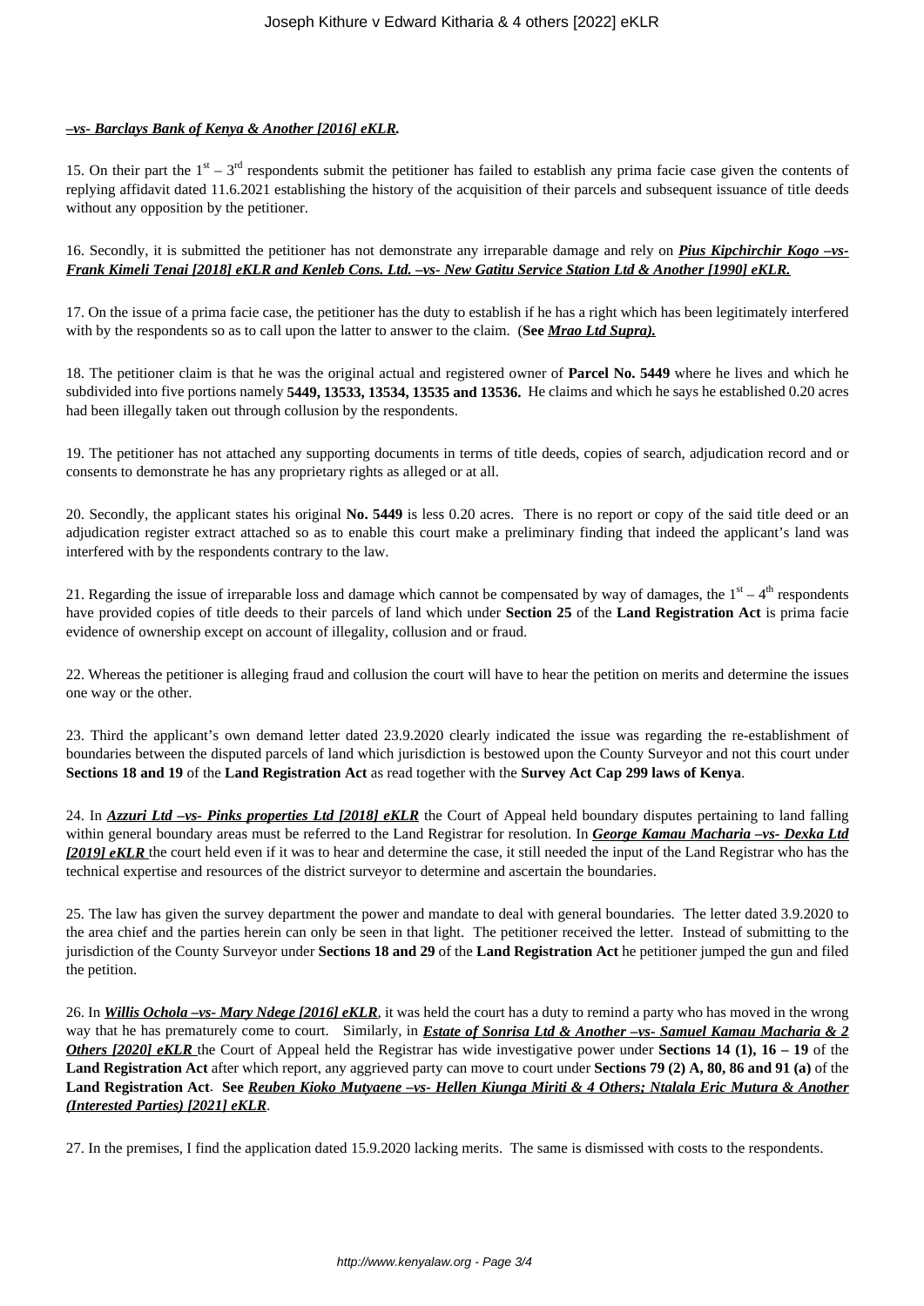# *–vs- Barclays Bank of Kenya & Another [2016] eKLR.*

15. On their part the  $1<sup>st</sup> - 3<sup>rd</sup>$  respondents submit the petitioner has failed to establish any prima facie case given the contents of replying affidavit dated 11.6.2021 establishing the history of the acquisition of their parcels and subsequent issuance of title deeds without any opposition by the petitioner.

#### 16. Secondly, it is submitted the petitioner has not demonstrate any irreparable damage and rely on *Pius Kipchirchir Kogo –vs-Frank Kimeli Tenai [2018] eKLR and Kenleb Cons. Ltd. –vs- New Gatitu Service Station Ltd & Another [1990] eKLR.*

17. On the issue of a prima facie case, the petitioner has the duty to establish if he has a right which has been legitimately interfered with by the respondents so as to call upon the latter to answer to the claim. (**See** *Mrao Ltd Supra).*

18. The petitioner claim is that he was the original actual and registered owner of **Parcel No. 5449** where he lives and which he subdivided into five portions namely **5449, 13533, 13534, 13535 and 13536.** He claims and which he says he established 0.20 acres had been illegally taken out through collusion by the respondents.

19. The petitioner has not attached any supporting documents in terms of title deeds, copies of search, adjudication record and or consents to demonstrate he has any proprietary rights as alleged or at all.

20. Secondly, the applicant states his original **No. 5449** is less 0.20 acres. There is no report or copy of the said title deed or an adjudication register extract attached so as to enable this court make a preliminary finding that indeed the applicant's land was interfered with by the respondents contrary to the law.

21. Regarding the issue of irreparable loss and damage which cannot be compensated by way of damages, the  $1<sup>st</sup> - 4<sup>th</sup>$  respondents have provided copies of title deeds to their parcels of land which under **Section 25** of the **Land Registration Act** is prima facie evidence of ownership except on account of illegality, collusion and or fraud.

22. Whereas the petitioner is alleging fraud and collusion the court will have to hear the petition on merits and determine the issues one way or the other.

23. Third the applicant's own demand letter dated 23.9.2020 clearly indicated the issue was regarding the re-establishment of boundaries between the disputed parcels of land which jurisdiction is bestowed upon the County Surveyor and not this court under **Sections 18 and 19** of the **Land Registration Act** as read together with the **Survey Act Cap 299 laws of Kenya**.

24. In *Azzuri Ltd –vs- Pinks properties Ltd [2018] eKLR* the Court of Appeal held boundary disputes pertaining to land falling within general boundary areas must be referred to the Land Registrar for resolution. In *George Kamau Macharia –vs- Dexka Ltd [2019] eKLR* the court held even if it was to hear and determine the case, it still needed the input of the Land Registrar who has the technical expertise and resources of the district surveyor to determine and ascertain the boundaries.

25. The law has given the survey department the power and mandate to deal with general boundaries. The letter dated 3.9.2020 to the area chief and the parties herein can only be seen in that light. The petitioner received the letter. Instead of submitting to the jurisdiction of the County Surveyor under **Sections 18 and 29** of the **Land Registration Act** he petitioner jumped the gun and filed the petition.

26. In *Willis Ochola –vs- Mary Ndege [2016] eKLR*, it was held the court has a duty to remind a party who has moved in the wrong way that he has prematurely come to court. Similarly, in *Estate of Sonrisa Ltd & Another –vs- Samuel Kamau Macharia & 2 Others [2020] eKLR* the Court of Appeal held the Registrar has wide investigative power under **Sections 14 (1), 16 – 19** of the **Land Registration Act** after which report, any aggrieved party can move to court under **Sections 79 (2) A, 80, 86 and 91 (a)** of the **Land Registration Act**. **See** *Reuben Kioko Mutyaene –vs- Hellen Kiunga Miriti & 4 Others; Ntalala Eric Mutura & Another (Interested Parties) [2021] eKLR*.

27. In the premises, I find the application dated 15.9.2020 lacking merits. The same is dismissed with costs to the respondents.